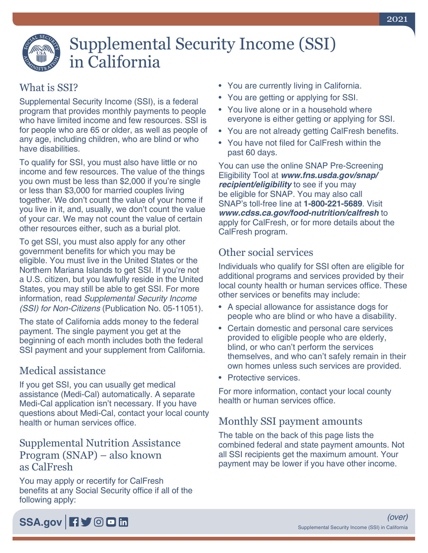# Supplemental Security Income (SSI) in California

# What is SSI?

Supplemental Security Income (SSI), is a federal program that provides monthly payments to people who have limited income and few resources. SSI is for people who are 65 or older, as well as people of any age, including children, who are blind or who have disabilities.

To qualify for SSI, you must also have little or no income and few resources. The value of the things you own must be less than \$2,000 if you're single or less than \$3,000 for married couples living together. We don't count the value of your home if you live in it, and, usually, we don't count the value of your car. We may not count the value of certain other resources either, such as a burial plot.

To get SSI, you must also apply for any other government benefits for which you may be eligible. You must live in the United States or the Northern Mariana Islands to get SSI. If you're not a U.S. citizen, but you lawfully reside in the United States, you may still be able to get SSI. For more information, read *[Supplemental Security Income](https://www.ssa.gov/pubs/EN-05-11051.pdf)  (SSI) for Non-Citizens* [\(Publication No. 05-11051\).](https://www.ssa.gov/pubs/EN-05-11051.pdf)

The state of California adds money to the federal payment. The single payment you get at the beginning of each month includes both the federal SSI payment and your supplement from California.

#### Medical assistance

If you get SSI, you can usually get medical assistance (Medi-Cal) automatically. A separate Medi-Cal application isn't necessary. If you have questions about Medi-Cal, contact your local county health or human services office.

#### Supplemental Nutrition Assistance Program (SNAP) – also known as CalFresh

You may apply or recertify for CalFresh benefits at any Social Security office if all of the following apply:

- You are currently living in California.
- You are getting or applying for SSI.
- You live alone or in a household where everyone is either getting or applying for SSI.
- You are not already getting CalFresh benefits.
- You have not filed for CalFresh within the past 60 days.

You can use the online SNAP Pre-Screening Eligibility Tool at *[www.fns.usda.gov/snap/](https://www.fns.usda.gov/snap/recipient/eligibility) [recipient/eligibility](https://www.fns.usda.gov/snap/recipient/eligibility)* to see if you may be eligible for SNAP. You may also call SNAP's toll-free line at **1-800-221-5689**. Visit *[www.cdss.ca.gov/food-nutrition/calfresh](https://www.cdss.ca.gov/food-nutrition/calfresh)* to apply for CalFresh, or for more details about the CalFresh program.

## Other social services

Individuals who qualify for SSI often are eligible for additional programs and services provided by their local county health or human services office. These other services or benefits may include:

- A special allowance for assistance dogs for people who are blind or who have a disability.
- Certain domestic and personal care services provided to eligible people who are elderly, blind, or who can't perform the services themselves, and who can't safely remain in their own homes unless such services are provided.
- Protective services.

For more information, contact your local county health or human services office.

## Monthly SSI payment amounts

The table on the back of this page lists the combined federal and state payment amounts. Not all SSI recipients get the maximum amount. Your payment may be lower if you have other income.